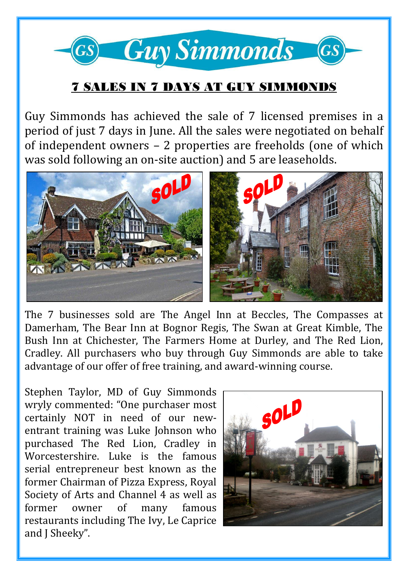

## 7 SALES IN 7 DAYS AT GUY SIMMONDS

Guy Simmonds has achieved the sale of 7 licensed premises in a period of just 7 days in June. All the sales were negotiated on behalf of independent owners – 2 properties are freeholds (one of which was sold following an on-site auction) and 5 are leaseholds.



The 7 businesses sold are The Angel Inn at Beccles, The Compasses at Damerham, The Bear Inn at Bognor Regis, The Swan at Great Kimble, The Bush Inn at Chichester, The Farmers Home at Durley, and The Red Lion, Cradley. All purchasers who buy through Guy Simmonds are able to take advantage of our offer of free training, and award-winning course.

Stephen Taylor, MD of Guy Simmonds wryly commented: "One purchaser most certainly NOT in need of our newentrant training was Luke Johnson who purchased The Red Lion, Cradley in Worcestershire. Luke is the famous serial entrepreneur best known as the former Chairman of Pizza Express, Royal Society of Arts and Channel 4 as well as former owner of many famous restaurants including The Ivy, Le Caprice and J Sheeky".

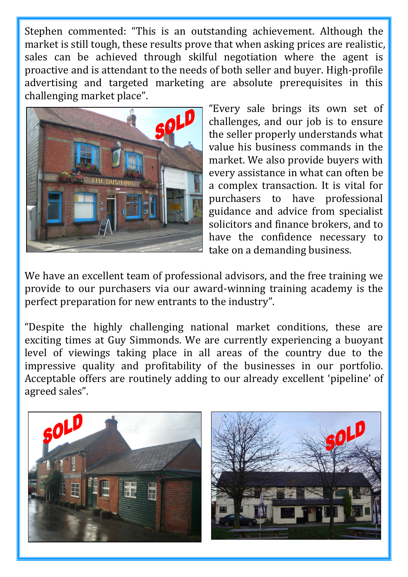Stephen commented: "This is an outstanding achievement. Although the market is still tough, these results prove that when asking prices are realistic, sales can be achieved through skilful negotiation where the agent is proactive and is attendant to the needs of both seller and buyer. High-profile advertising and targeted marketing are absolute prerequisites in this challenging market place".



"Every sale brings its own set of challenges, and our job is to ensure the seller properly understands what value his business commands in the market. We also provide buyers with every assistance in what can often be a complex transaction. It is vital for purchasers to have professional guidance and advice from specialist solicitors and finance brokers, and to have the confidence necessary to take on a demanding business.

We have an excellent team of professional advisors, and the free training we provide to our purchasers via our award-winning training academy is the perfect preparation for new entrants to the industry".

"Despite the highly challenging national market conditions, these are exciting times at Guy Simmonds. We are currently experiencing a buoyant level of viewings taking place in all areas of the country due to the impressive quality and profitability of the businesses in our portfolio. Acceptable offers are routinely adding to our already excellent 'pipeline' of agreed sales".

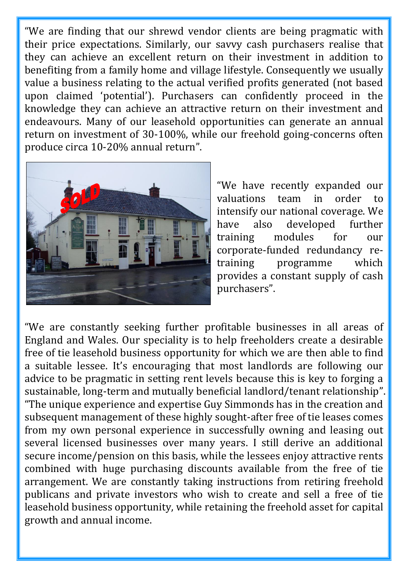"We are finding that our shrewd vendor clients are being pragmatic with their price expectations. Similarly, our savvy cash purchasers realise that they can achieve an excellent return on their investment in addition to benefiting from a family home and village lifestyle. Consequently we usually value a business relating to the actual verified profits generated (not based upon claimed 'potential'). Purchasers can confidently proceed in the knowledge they can achieve an attractive return on their investment and endeavours. Many of our leasehold opportunities can generate an annual return on investment of 30-100%, while our freehold going-concerns often produce circa 10-20% annual return".



"We have recently expanded our valuations team in order to intensify our national coverage. We have also developed further training modules for our corporate-funded redundancy retraining programme which provides a constant supply of cash purchasers".

"We are constantly seeking further profitable businesses in all areas of England and Wales. Our speciality is to help freeholders create a desirable free of tie leasehold business opportunity for which we are then able to find a suitable lessee. It's encouraging that most landlords are following our advice to be pragmatic in setting rent levels because this is key to forging a sustainable, long-term and mutually beneficial landlord/tenant relationship". "The unique experience and expertise Guy Simmonds has in the creation and subsequent management of these highly sought-after free of tie leases comes from my own personal experience in successfully owning and leasing out several licensed businesses over many years. I still derive an additional secure income/pension on this basis, while the lessees enjoy attractive rents combined with huge purchasing discounts available from the free of tie arrangement. We are constantly taking instructions from retiring freehold publicans and private investors who wish to create and sell a free of tie leasehold business opportunity, while retaining the freehold asset for capital growth and annual income.